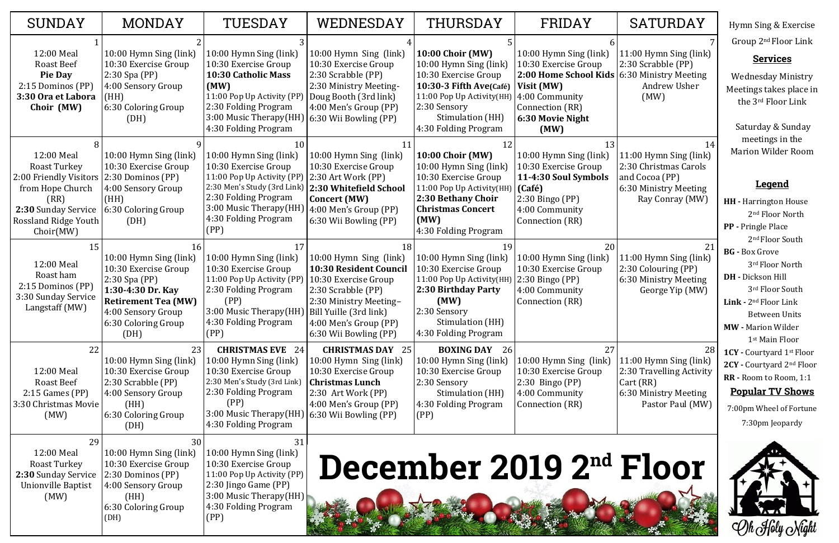|   | SATURDAY                                                                                                           | Hymn Sing & Exercise                                                                                                                                                                                       |  |  |
|---|--------------------------------------------------------------------------------------------------------------------|------------------------------------------------------------------------------------------------------------------------------------------------------------------------------------------------------------|--|--|
| 5 | 7                                                                                                                  | Group 2 <sup>nd</sup> Floor Link                                                                                                                                                                           |  |  |
| 5 | 11:00 Hymn Sing (link)<br>2:30 Scrabble (PP)<br>6:30 Ministry Meeting<br><b>Andrew Usher</b><br>(MW)               | <b>Services</b><br><b>Wednesday Ministry</b><br>Meetings takes place in<br>the 3rd Floor Link                                                                                                              |  |  |
| 3 | 14<br>11:00 Hymn Sing (link)<br>2:30 Christmas Carols<br>and Cocoa (PP)                                            | Saturday & Sunday<br>meetings in the<br><b>Marion Wilder Room</b>                                                                                                                                          |  |  |
|   | 6:30 Ministry Meeting<br>Ray Conray (MW)                                                                           | <u>Legend</u>                                                                                                                                                                                              |  |  |
|   |                                                                                                                    | <b>HH</b> - Harrington House<br>2 <sup>nd</sup> Floor North<br><b>PP</b> - Pringle Place<br>2 <sup>nd</sup> Floor South                                                                                    |  |  |
|   | 21<br>11:00 Hymn Sing (link)<br>2:30 Colouring (PP)<br>6:30 Ministry Meeting<br>George Yip (MW)                    | <b>BG</b> - Box Grove<br>3rd Floor North<br><b>DH</b> - Dickson Hill<br>3rd Floor South<br>Link - $2nd$ Floor Link<br><b>Between Units</b><br><b>MW</b> - Marion Wilder                                    |  |  |
|   | 28<br>11:00 Hymn Sing (link)<br>2:30 Travelling Activity<br>Cart (RR)<br>6:30 Ministry Meeting<br>Pastor Paul (MW) | 1 <sup>st</sup> Main Floor<br><b>1CY</b> - Courtyard 1 <sup>st</sup> Floor<br>2CY - Courtyard 2nd Floor<br>RR - Room to Room, 1:1<br><u>Popular TV Shows</u><br>7:00pm Wheel of Fortune<br>7:30pm Jeopardy |  |  |
|   | <b>Floor</b>                                                                                                       |                                                                                                                                                                                                            |  |  |

| <b>SUNDAY</b>                                                                                                                                       | <b>MONDAY</b>                                                                                                                                                                   | TUESDAY                                                                                                                                                                                               | WEDNESDAY                                                                                                                                                                                | THURSDAY                                                                                                                                                                                       | FRIDAY                                                                                                                                                                         | <b>SATURDAY</b>                                                                                                     |
|-----------------------------------------------------------------------------------------------------------------------------------------------------|---------------------------------------------------------------------------------------------------------------------------------------------------------------------------------|-------------------------------------------------------------------------------------------------------------------------------------------------------------------------------------------------------|------------------------------------------------------------------------------------------------------------------------------------------------------------------------------------------|------------------------------------------------------------------------------------------------------------------------------------------------------------------------------------------------|--------------------------------------------------------------------------------------------------------------------------------------------------------------------------------|---------------------------------------------------------------------------------------------------------------------|
| 12:00 Meal<br><b>Roast Beef</b><br><b>Pie Day</b><br>2:15 Dominos (PP)<br>3:30 Ora et Labora<br>Choir (MW)                                          | 10:00 Hymn Sing (link)<br>10:30 Exercise Group<br>$2:30$ Spa (PP)<br>4:00 Sensory Group<br>(HH)<br>6:30 Coloring Group<br>(DH)                                                  | 10:00 Hymn Sing (link)<br>10:30 Exercise Group<br>10:30 Catholic Mass<br>(MW)<br>11:00 Pop Up Activity (PP)<br>2:30 Folding Program<br>3:00 Music Therapy(HH)<br>4:30 Folding Program                 | 10:00 Hymn Sing (link)<br>10:30 Exercise Group<br>2:30 Scrabble (PP)<br>2:30 Ministry Meeting-<br>Doug Booth (3rd link)<br>4:00 Men's Group (PP)<br>6:30 Wii Bowling (PP)                | <b>10:00 Choir (MW)</b><br>10:00 Hymn Sing (link)<br>10:30 Exercise Group<br>10:30-3 Fifth Ave(Café)<br>11:00 Pop Up Activity(HH)<br>2:30 Sensory<br>Stimulation (HH)<br>4:30 Folding Program  | 10:00 Hymn Sing (link)<br>10:30 Exercise Group<br>2:00 Home School Kids   6:30 Ministry Meeting<br>Visit (MW)<br>4:00 Community<br>Connection (RR)<br>6:30 Movie Night<br>(MW) | 11:00 Hymn Sing (link)<br>2:30 Scrabble (PP)<br>Andrew Usher<br>(MW)                                                |
| 12:00 Meal<br>Roast Turkey<br>2:00 Friendly Visitors<br>from Hope Church<br>(RR)<br>2:30 Sunday Service<br><b>Rossland Ridge Youth</b><br>Choir(MW) | 10:00 Hymn Sing (link)<br>10:30 Exercise Group<br>2:30 Dominos (PP)<br>4:00 Sensory Group<br>(HH)<br>6:30 Coloring Group<br>(DH)                                                | 10:00 Hymn Sing (link)<br>10:30 Exercise Group<br>11:00 Pop Up Activity (PP)<br>2:30 Men's Study (3rd Link)<br>2:30 Folding Program<br>3:00 Music Therapy(HH)<br>4:30 Folding Program<br>(PP)         | 11<br>10:00 Hymn Sing (link)<br>10:30 Exercise Group<br>$ 2:30$ Art Work (PP)<br>2:30 Whitefield School<br><b>Concert (MW)</b><br>4:00 Men's Group (PP)<br>6:30 Wii Bowling (PP)         | 12<br><b>10:00 Choir (MW)</b><br>10:00 Hymn Sing (link)<br>10:30 Exercise Group<br>11:00 Pop Up Activity(HH)<br>2:30 Bethany Choir<br><b>Christmas Concert</b><br>(MW)<br>4:30 Folding Program | 13<br>10:00 Hymn Sing (link)<br>10:30 Exercise Group<br>11-4:30 Soul Symbols<br>(Café)<br>2:30 Bingo (PP)<br>4:00 Community<br>Connection (RR)                                 | 14<br>11:00 Hymn Sing (link)<br>2:30 Christmas Carols<br>and Cocoa (PP)<br>6:30 Ministry Meeting<br>Ray Conray (MW) |
| 15<br>12:00 Meal<br>Roast ham<br>2:15 Dominos (PP)<br>3:30 Sunday Service<br>Langstaff (MW)                                                         | 16<br>10:00 Hymn Sing (link)<br>10:30 Exercise Group<br>$2:30$ Spa (PP)<br>1:30-4:30 Dr. Kay<br><b>Retirement Tea (MW)</b><br>4:00 Sensory Group<br>6:30 Coloring Group<br>(DH) | 17<br>10:00 Hymn Sing (link)<br>10:30 Exercise Group<br>11:00 Pop Up Activity (PP)<br>2:30 Folding Program<br>(PP)<br>3:00 Music Therapy(HH)   Bill Yuille (3rd link)<br>4:30 Folding Program<br>(PP) | 18<br>10:00 Hymn Sing (link)<br>10:30 Resident Council<br>10:30 Exercise Group<br>2:30 Scrabble (PP)<br>2:30 Ministry Meeting-<br>4:00 Men's Group (PP)<br>6:30 Wii Bowling (PP)         | 19<br>10:00 Hymn Sing (link)<br>10:30 Exercise Group<br>11:00 Pop Up Activity(HH)<br>2:30 Birthday Party<br>(MW)<br>2:30 Sensory<br>Stimulation (HH)<br>4:30 Folding Program                   | 20<br>10:00 Hymn Sing (link)<br>10:30 Exercise Group<br>$2:30$ Bingo (PP)<br>4:00 Community<br>Connection (RR)                                                                 | 21<br>11:00 Hymn Sing (link)<br>2:30 Colouring (PP)<br>6:30 Ministry Meeting<br>George Yip (MW)                     |
| 22<br>12:00 Meal<br><b>Roast Beef</b><br>$2:15$ Games (PP)<br>3:30 Christmas Movie<br>(MW)                                                          | 23<br>10:00 Hymn Sing (link)<br>10:30 Exercise Group<br>2:30 Scrabble (PP)<br>4:00 Sensory Group<br>(HH)<br>6:30 Coloring Group<br>(DH)                                         | <b>CHRISTMAS EVE</b> 24<br>10:00 Hymn Sing (link)<br>10:30 Exercise Group<br>2:30 Men's Study (3rd Link)<br>2:30 Folding Program<br>(PP)<br>3:00 Music Therapy (HH)<br>4:30 Folding Program           | <b>CHRISTMAS DAY 25</b><br>10:00 Hymn Sing (link)<br>10:30 Exercise Group<br><b>Christmas Lunch</b><br>2:30 Art Work (PP)<br>4:00 Men's Group (PP)<br>$(6:30 \text{ Wi})$ Bowling $(PP)$ | <b>BOXING DAY</b> 26<br>10:00 Hymn Sing (link)<br>10:30 Exercise Group<br>2:30 Sensory<br>Stimulation (HH)<br>4:30 Folding Program<br>(PP)                                                     | 27<br>10:00 Hymn Sing (link)<br>10:30 Exercise Group<br>$2:30$ Bingo (PP)<br>4:00 Community<br>Connection (RR)                                                                 | 28<br>11:00 Hymn Sing (link)<br>2:30 Travelling Activity<br>Cart (RR)<br>6:30 Ministry Meeting<br>Pastor Paul (MW)  |
| 29<br>12:00 Meal<br>Roast Turkey<br>2:30 Sunday Service<br>Unionville Baptist<br>(MW)                                                               | 30<br>10:00 Hymn Sing (link)<br>10:30 Exercise Group<br>2:30 Dominos (PP)<br>4:00 Sensory Group<br>(HH)<br>6:30 Coloring Group<br>(DH)                                          | 31<br>10:00 Hymn Sing (link)<br>10:30 Exercise Group<br>11:00 Pop Up Activity (PP)<br>2:30 Jingo Game (PP)<br>3:00 Music Therapy(HH)<br>4:30 Folding Program<br>(PP)                                  |                                                                                                                                                                                          |                                                                                                                                                                                                | December 2019 2 <sup>nd</sup> Floor                                                                                                                                            |                                                                                                                     |

# **Legend**

- **Place** Floor South
- $\frac{1}{2}$ 'loor North
- **DH -** Dickson Hill Floor South
- **Floor Link** ween Units
- **MW -** Marion Wilder Aain Floor
- **1CY -** Courtyard 1st Floor
- **2CY -** Courtyard 2nd Floor
- **c** Room, 1:1

### **Popular TV Shows**